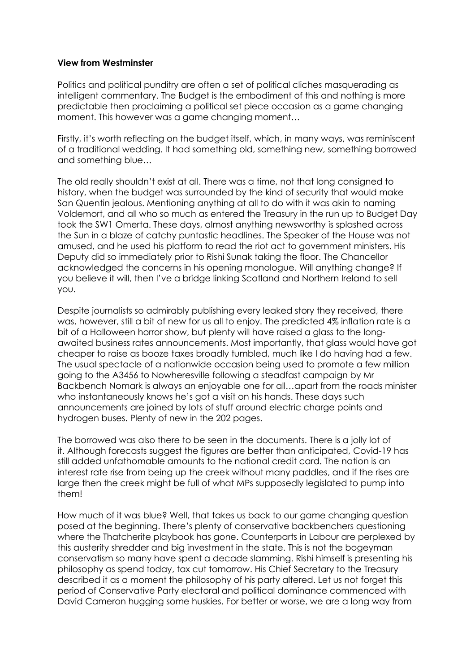## **View from Westminster**

Politics and political punditry are often a set of political cliches masquerading as intelligent commentary. The Budget is the embodiment of this and nothing is more predictable then proclaiming a political set piece occasion as a game changing moment. This however was a game changing moment…

Firstly, it's worth reflecting on the budget itself, which, in many ways, was reminiscent of a traditional wedding. It had something old, something new, something borrowed and something blue…

The old really shouldn't exist at all. There was a time, not that long consigned to history, when the budget was surrounded by the kind of security that would make San Quentin jealous. Mentioning anything at all to do with it was akin to naming Voldemort, and all who so much as entered the Treasury in the run up to Budget Day took the SW1 Omerta. These days, almost anything newsworthy is splashed across the Sun in a blaze of catchy puntastic headlines. The Speaker of the House was not amused, and he used his platform to read the riot act to government ministers. His Deputy did so immediately prior to Rishi Sunak taking the floor. The Chancellor acknowledged the concerns in his opening monologue. Will anything change? If you believe it will, then I've a bridge linking Scotland and Northern Ireland to sell you.

Despite journalists so admirably publishing every leaked story they received, there was, however, still a bit of new for us all to enjoy. The predicted 4% inflation rate is a bit of a Halloween horror show, but plenty will have raised a glass to the longawaited business rates announcements. Most importantly, that glass would have got cheaper to raise as booze taxes broadly tumbled, much like I do having had a few. The usual spectacle of a nationwide occasion being used to promote a few million going to the A3456 to Nowheresville following a steadfast campaign by Mr Backbench Nomark is always an enjoyable one for all…apart from the roads minister who instantaneously knows he's got a visit on his hands. These days such announcements are joined by lots of stuff around electric charge points and hydrogen buses. Plenty of new in the 202 pages.

The borrowed was also there to be seen in the documents. There is a jolly lot of it. Although forecasts suggest the figures are better than anticipated, Covid-19 has still added unfathomable amounts to the national credit card. The nation is an interest rate rise from being up the creek without many paddles, and if the rises are large then the creek might be full of what MPs supposedly legislated to pump into them!

How much of it was blue? Well, that takes us back to our game changing question posed at the beginning. There's plenty of conservative backbenchers questioning where the Thatcherite playbook has gone. Counterparts in Labour are perplexed by this austerity shredder and big investment in the state. This is not the bogeyman conservatism so many have spent a decade slamming. Rishi himself is presenting his philosophy as spend today, tax cut tomorrow. His Chief Secretary to the Treasury described it as a moment the philosophy of his party altered. Let us not forget this period of Conservative Party electoral and political dominance commenced with David Cameron hugging some huskies. For better or worse, we are a long way from